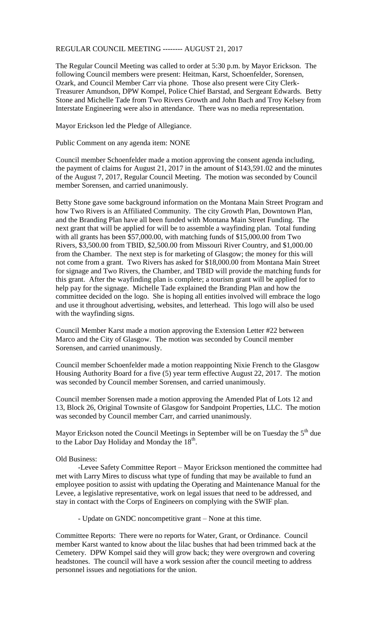## REGULAR COUNCIL MEETING -------- AUGUST 21, 2017

The Regular Council Meeting was called to order at 5:30 p.m. by Mayor Erickson. The following Council members were present: Heitman, Karst, Schoenfelder, Sorensen, Ozark, and Council Member Carr via phone. Those also present were City Clerk-Treasurer Amundson, DPW Kompel, Police Chief Barstad, and Sergeant Edwards. Betty Stone and Michelle Tade from Two Rivers Growth and John Bach and Troy Kelsey from Interstate Engineering were also in attendance. There was no media representation.

Mayor Erickson led the Pledge of Allegiance.

Public Comment on any agenda item: NONE

Council member Schoenfelder made a motion approving the consent agenda including, the payment of claims for August 21, 2017 in the amount of \$143,591.02 and the minutes of the August 7, 2017, Regular Council Meeting. The motion was seconded by Council member Sorensen, and carried unanimously.

Betty Stone gave some background information on the Montana Main Street Program and how Two Rivers is an Affiliated Community. The city Growth Plan, Downtown Plan, and the Branding Plan have all been funded with Montana Main Street Funding. The next grant that will be applied for will be to assemble a wayfinding plan. Total funding with all grants has been \$57,000.00, with matching funds of \$15,000.00 from Two Rivers, \$3,500.00 from TBID, \$2,500.00 from Missouri River Country, and \$1,000.00 from the Chamber. The next step is for marketing of Glasgow; the money for this will not come from a grant. Two Rivers has asked for \$18,000.00 from Montana Main Street for signage and Two Rivers, the Chamber, and TBID will provide the matching funds for this grant. After the wayfinding plan is complete; a tourism grant will be applied for to help pay for the signage. Michelle Tade explained the Branding Plan and how the committee decided on the logo. She is hoping all entities involved will embrace the logo and use it throughout advertising, websites, and letterhead. This logo will also be used with the wayfinding signs.

Council Member Karst made a motion approving the Extension Letter #22 between Marco and the City of Glasgow. The motion was seconded by Council member Sorensen, and carried unanimously.

Council member Schoenfelder made a motion reappointing Nixie French to the Glasgow Housing Authority Board for a five (5) year term effective August 22, 2017. The motion was seconded by Council member Sorensen, and carried unanimously.

Council member Sorensen made a motion approving the Amended Plat of Lots 12 and 13, Block 26, Original Townsite of Glasgow for Sandpoint Properties, LLC. The motion was seconded by Council member Carr, and carried unanimously.

Mayor Erickson noted the Council Meetings in September will be on Tuesday the  $5<sup>th</sup>$  due to the Labor Day Holiday and Monday the  $18<sup>th</sup>$ .

## Old Business:

-Levee Safety Committee Report – Mayor Erickson mentioned the committee had met with Larry Mires to discuss what type of funding that may be available to fund an employee position to assist with updating the Operating and Maintenance Manual for the Levee, a legislative representative, work on legal issues that need to be addressed, and stay in contact with the Corps of Engineers on complying with the SWIF plan.

- Update on GNDC noncompetitive grant – None at this time.

Committee Reports: There were no reports for Water, Grant, or Ordinance. Council member Karst wanted to know about the lilac bushes that had been trimmed back at the Cemetery. DPW Kompel said they will grow back; they were overgrown and covering headstones. The council will have a work session after the council meeting to address personnel issues and negotiations for the union.